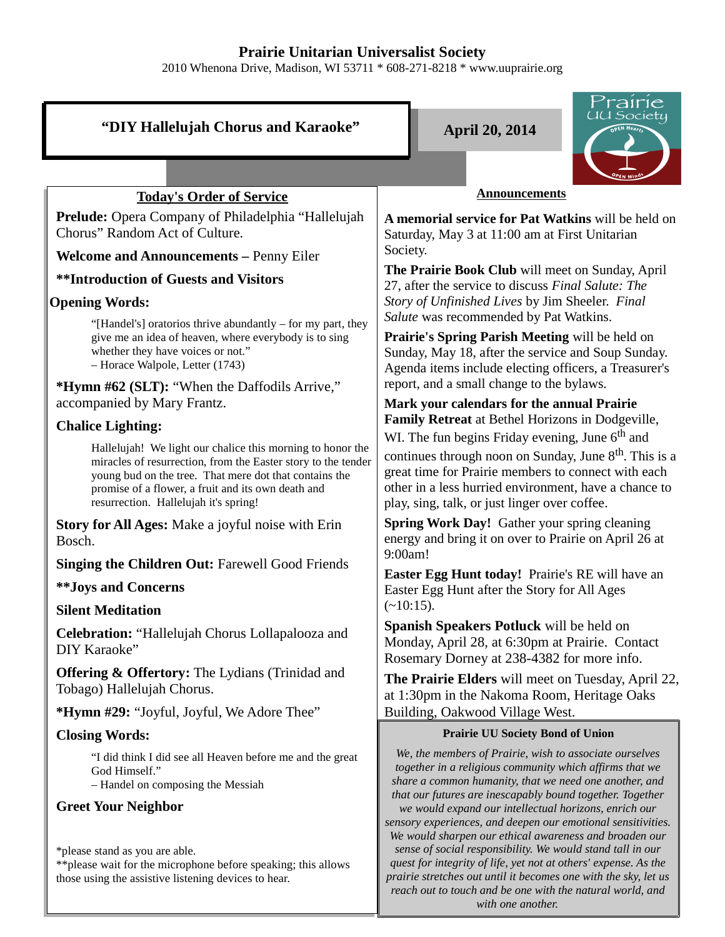## **Prairie Unitarian Universalist Society**

2010 Whenona Drive, Madison, WI 53711 \* 608-271-8218 \* www.uuprairie.org

| "DIY Hallelujah Chorus and Karaoke"                                                                                                                                                                                                                                                  | <u>tairie</u><br>JU Society<br><b>April 20, 2014</b>                                                                                                                                                                                                                                                                                                                                                                                                                  |  |
|--------------------------------------------------------------------------------------------------------------------------------------------------------------------------------------------------------------------------------------------------------------------------------------|-----------------------------------------------------------------------------------------------------------------------------------------------------------------------------------------------------------------------------------------------------------------------------------------------------------------------------------------------------------------------------------------------------------------------------------------------------------------------|--|
|                                                                                                                                                                                                                                                                                      |                                                                                                                                                                                                                                                                                                                                                                                                                                                                       |  |
|                                                                                                                                                                                                                                                                                      |                                                                                                                                                                                                                                                                                                                                                                                                                                                                       |  |
| <b>Today's Order of Service</b>                                                                                                                                                                                                                                                      | <b>Announcements</b>                                                                                                                                                                                                                                                                                                                                                                                                                                                  |  |
| <b>Prelude:</b> Opera Company of Philadelphia "Hallelujah"<br>Chorus" Random Act of Culture.                                                                                                                                                                                         | A memorial service for Pat Watkins will be held on<br>Saturday, May 3 at 11:00 am at First Unitarian                                                                                                                                                                                                                                                                                                                                                                  |  |
| <b>Welcome and Announcements - Penny Eiler</b>                                                                                                                                                                                                                                       | Society.                                                                                                                                                                                                                                                                                                                                                                                                                                                              |  |
| <b>**Introduction of Guests and Visitors</b>                                                                                                                                                                                                                                         | The Prairie Book Club will meet on Sunday, April<br>27, after the service to discuss Final Salute: The                                                                                                                                                                                                                                                                                                                                                                |  |
| <b>Opening Words:</b>                                                                                                                                                                                                                                                                | Story of Unfinished Lives by Jim Sheeler. Final                                                                                                                                                                                                                                                                                                                                                                                                                       |  |
| "[Handel's] oratorios thrive abundantly - for my part, they<br>give me an idea of heaven, where everybody is to sing<br>whether they have voices or not."<br>- Horace Walpole, Letter (1743)                                                                                         | Salute was recommended by Pat Watkins.<br>Prairie's Spring Parish Meeting will be held on<br>Sunday, May 18, after the service and Soup Sunday.<br>Agenda items include electing officers, a Treasurer's                                                                                                                                                                                                                                                              |  |
| *Hymn #62 (SLT): "When the Daffodils Arrive,"                                                                                                                                                                                                                                        | report, and a small change to the bylaws.                                                                                                                                                                                                                                                                                                                                                                                                                             |  |
| accompanied by Mary Frantz.                                                                                                                                                                                                                                                          | Mark your calendars for the annual Prairie<br>Family Retreat at Bethel Horizons in Dodgeville,                                                                                                                                                                                                                                                                                                                                                                        |  |
| <b>Chalice Lighting:</b>                                                                                                                                                                                                                                                             | WI. The fun begins Friday evening, June $6th$ and                                                                                                                                                                                                                                                                                                                                                                                                                     |  |
| Hallelujah! We light our chalice this morning to honor the<br>miracles of resurrection, from the Easter story to the tender<br>young bud on the tree. That mere dot that contains the<br>promise of a flower, a fruit and its own death and<br>resurrection. Hallelujah it's spring! | continues through noon on Sunday, June 8 <sup>th</sup> . This is a<br>great time for Prairie members to connect with each<br>other in a less hurried environment, have a chance to<br>play, sing, talk, or just linger over coffee.                                                                                                                                                                                                                                   |  |
| <b>Story for All Ages:</b> Make a joyful noise with Erin<br>Bosch.                                                                                                                                                                                                                   | <b>Spring Work Day!</b> Gather your spring cleaning<br>energy and bring it on over to Prairie on April 26 at<br>9:00am!                                                                                                                                                                                                                                                                                                                                               |  |
| <b>Singing the Children Out: Farewell Good Friends</b>                                                                                                                                                                                                                               | Easter Egg Hunt today! Prairie's RE will have an<br>Easter Egg Hunt after the Story for All Ages                                                                                                                                                                                                                                                                                                                                                                      |  |
| <b>**Joys and Concerns</b>                                                                                                                                                                                                                                                           |                                                                                                                                                                                                                                                                                                                                                                                                                                                                       |  |
| <b>Silent Meditation</b>                                                                                                                                                                                                                                                             | $(-10:15)$ .                                                                                                                                                                                                                                                                                                                                                                                                                                                          |  |
| Celebration: "Hallelujah Chorus Lollapalooza and<br>DIY Karaoke"                                                                                                                                                                                                                     | Spanish Speakers Potluck will be held on<br>Monday, April 28, at 6:30pm at Prairie. Contact<br>Rosemary Dorney at 238-4382 for more info.                                                                                                                                                                                                                                                                                                                             |  |
| Offering & Offertory: The Lydians (Trinidad and<br>Tobago) Hallelujah Chorus.                                                                                                                                                                                                        | The Prairie Elders will meet on Tuesday, April 22,<br>at 1:30pm in the Nakoma Room, Heritage Oaks                                                                                                                                                                                                                                                                                                                                                                     |  |
| *Hymn #29: "Joyful, Joyful, We Adore Thee"                                                                                                                                                                                                                                           | Building, Oakwood Village West.                                                                                                                                                                                                                                                                                                                                                                                                                                       |  |
| <b>Closing Words:</b>                                                                                                                                                                                                                                                                | <b>Prairie UU Society Bond of Union</b>                                                                                                                                                                                                                                                                                                                                                                                                                               |  |
| "I did think I did see all Heaven before me and the great<br>God Himself."<br>- Handel on composing the Messiah                                                                                                                                                                      | We, the members of Prairie, wish to associate ourselves<br>together in a religious community which affirms that we<br>share a common humanity, that we need one another, and<br>that our futures are inescapably bound together. Together                                                                                                                                                                                                                             |  |
| <b>Greet Your Neighbor</b><br>*please stand as you are able.<br>** please wait for the microphone before speaking; this allows<br>those using the assistive listening devices to hear.                                                                                               | we would expand our intellectual horizons, enrich our<br>sensory experiences, and deepen our emotional sensitivities.<br>We would sharpen our ethical awareness and broaden our<br>sense of social responsibility. We would stand tall in our<br>quest for integrity of life, yet not at others' expense. As the<br>prairie stretches out until it becomes one with the sky, let us<br>reach out to touch and be one with the natural world, and<br>with one another. |  |